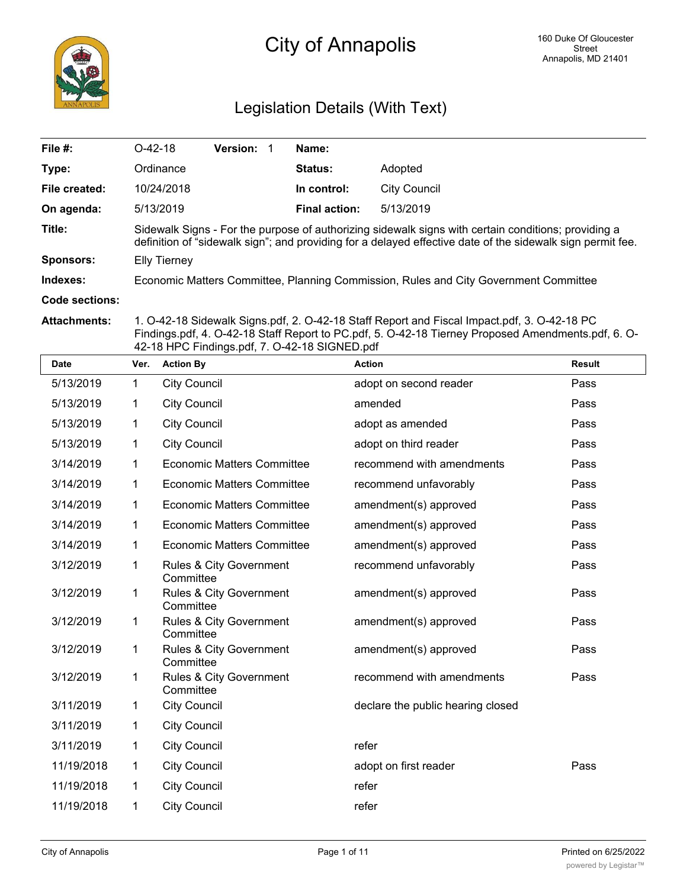

# Legislation Details (With Text)

| File #:               | $O-42-18$                                                                                                                                                                                                         | <b>Version:</b> |  | Name:                |                                                                                      |  |  |  |  |
|-----------------------|-------------------------------------------------------------------------------------------------------------------------------------------------------------------------------------------------------------------|-----------------|--|----------------------|--------------------------------------------------------------------------------------|--|--|--|--|
| Type:                 | Ordinance                                                                                                                                                                                                         |                 |  | <b>Status:</b>       | Adopted                                                                              |  |  |  |  |
| File created:         | 10/24/2018                                                                                                                                                                                                        |                 |  | In control:          | City Council                                                                         |  |  |  |  |
| On agenda:            | 5/13/2019                                                                                                                                                                                                         |                 |  | <b>Final action:</b> | 5/13/2019                                                                            |  |  |  |  |
| Title:                | Sidewalk Signs - For the purpose of authorizing sidewalk signs with certain conditions; providing a<br>definition of "sidewalk sign"; and providing for a delayed effective date of the sidewalk sign permit fee. |                 |  |                      |                                                                                      |  |  |  |  |
| Sponsors:             | <b>Elly Tierney</b>                                                                                                                                                                                               |                 |  |                      |                                                                                      |  |  |  |  |
| Indexes:              |                                                                                                                                                                                                                   |                 |  |                      | Economic Matters Committee, Planning Commission, Rules and City Government Committee |  |  |  |  |
| <b>Code sections:</b> |                                                                                                                                                                                                                   |                 |  |                      |                                                                                      |  |  |  |  |

**Attachments:** 1. O-42-18 Sidewalk Signs.pdf, 2. O-42-18 Staff Report and Fiscal Impact.pdf, 3. O-42-18 PC Findings.pdf, 4. O-42-18 Staff Report to PC.pdf, 5. O-42-18 Tierney Proposed Amendments.pdf, 6. O-42-18 HPC Findings.pdf, 7. O-42-18 SIGNED.pdf

| <b>Date</b> | Ver.         | <b>Action By</b>                     | <b>Action</b>                     | <b>Result</b> |
|-------------|--------------|--------------------------------------|-----------------------------------|---------------|
| 5/13/2019   | 1            | <b>City Council</b>                  | adopt on second reader            | Pass          |
| 5/13/2019   | 1            | <b>City Council</b>                  | amended                           | Pass          |
| 5/13/2019   | $\mathbf{1}$ | <b>City Council</b>                  | adopt as amended                  | Pass          |
| 5/13/2019   | 1            | <b>City Council</b>                  | adopt on third reader             | Pass          |
| 3/14/2019   | 1            | <b>Economic Matters Committee</b>    | recommend with amendments         | Pass          |
| 3/14/2019   | 1            | <b>Economic Matters Committee</b>    | recommend unfavorably             | Pass          |
| 3/14/2019   | 1            | <b>Economic Matters Committee</b>    | amendment(s) approved             | Pass          |
| 3/14/2019   | 1            | <b>Economic Matters Committee</b>    | amendment(s) approved             | Pass          |
| 3/14/2019   | 1            | <b>Economic Matters Committee</b>    | amendment(s) approved             | Pass          |
| 3/12/2019   | $\mathbf{1}$ | Rules & City Government<br>Committee | recommend unfavorably             | Pass          |
| 3/12/2019   | 1            | Rules & City Government<br>Committee | amendment(s) approved             | Pass          |
| 3/12/2019   | 1            | Rules & City Government<br>Committee | amendment(s) approved             | Pass          |
| 3/12/2019   | 1            | Rules & City Government<br>Committee | amendment(s) approved             | Pass          |
| 3/12/2019   | 1            | Rules & City Government<br>Committee | recommend with amendments         | Pass          |
| 3/11/2019   | 1            | <b>City Council</b>                  | declare the public hearing closed |               |
| 3/11/2019   | 1            | <b>City Council</b>                  |                                   |               |
| 3/11/2019   | 1            | <b>City Council</b>                  | refer                             |               |
| 11/19/2018  | $\mathbf{1}$ | <b>City Council</b>                  | adopt on first reader             | Pass          |
| 11/19/2018  | 1            | <b>City Council</b>                  | refer                             |               |
| 11/19/2018  | 1            | <b>City Council</b>                  | refer                             |               |
|             |              |                                      |                                   |               |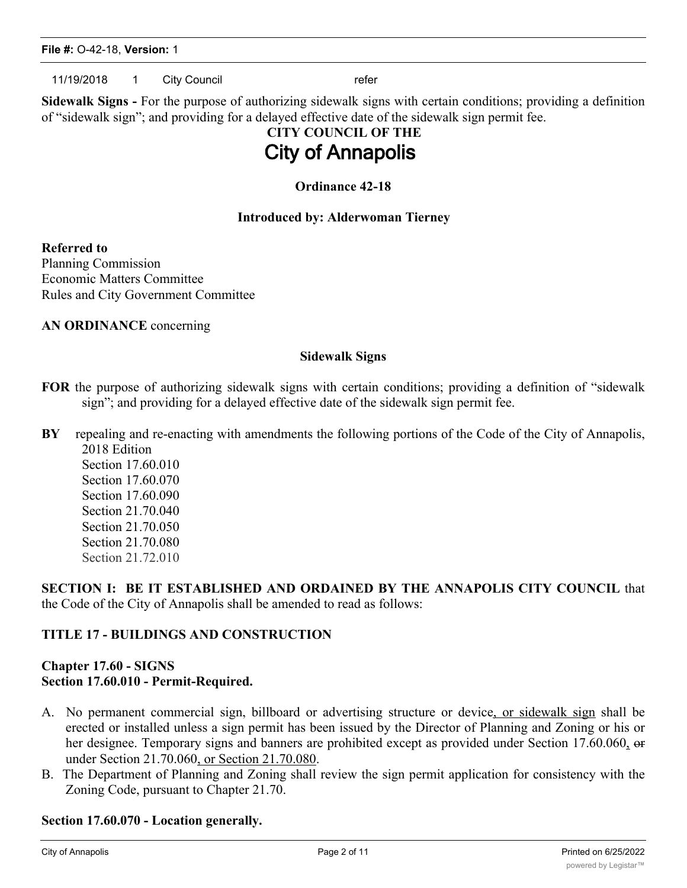11/19/2018 1 City Council 11/19/2018 refer

**Sidewalk Signs -** For the purpose of authorizing sidewalk signs with certain conditions; providing a definition of "sidewalk sign"; and providing for a delayed effective date of the sidewalk sign permit fee.

# **CITY COUNCIL OF THE City of Annapolis**

### **Ordinance 42-18**

### **Introduced by: Alderwoman Tierney**

**Referred to**

Planning Commission Economic Matters Committee Rules and City Government Committee

**AN ORDINANCE** concerning

### **Sidewalk Signs**

- **FOR** the purpose of authorizing sidewalk signs with certain conditions; providing a definition of "sidewalk sign"; and providing for a delayed effective date of the sidewalk sign permit fee.
- **BY** repealing and re-enacting with amendments the following portions of the Code of the City of Annapolis, 2018 Edition

Section 17.60.010 Section 17.60.070 Section 17.60.090 Section 21.70.040 Section 21.70.050 Section 21.70.080 Section 21.72.010

**SECTION I: BE IT ESTABLISHED AND ORDAINED BY THE ANNAPOLIS CITY COUNCIL** that the Code of the City of Annapolis shall be amended to read as follows:

### **TITLE 17 - BUILDINGS AND CONSTRUCTION**

### **Chapter 17.60 - SIGNS Section 17.60.010 - Permit-Required.**

- A. No permanent commercial sign, billboard or advertising structure or device, or sidewalk sign shall be erected or installed unless a sign permit has been issued by the Director of Planning and Zoning or his or her designee. Temporary signs and banners are prohibited except as provided under Section 17.60.060, or under Section 21.70.060, or Section 21.70.080.
- B. The Department of Planning and Zoning shall review the sign permit application for consistency with the Zoning Code, pursuant to Chapter 21.70.

### **Section 17.60.070 - Location generally.**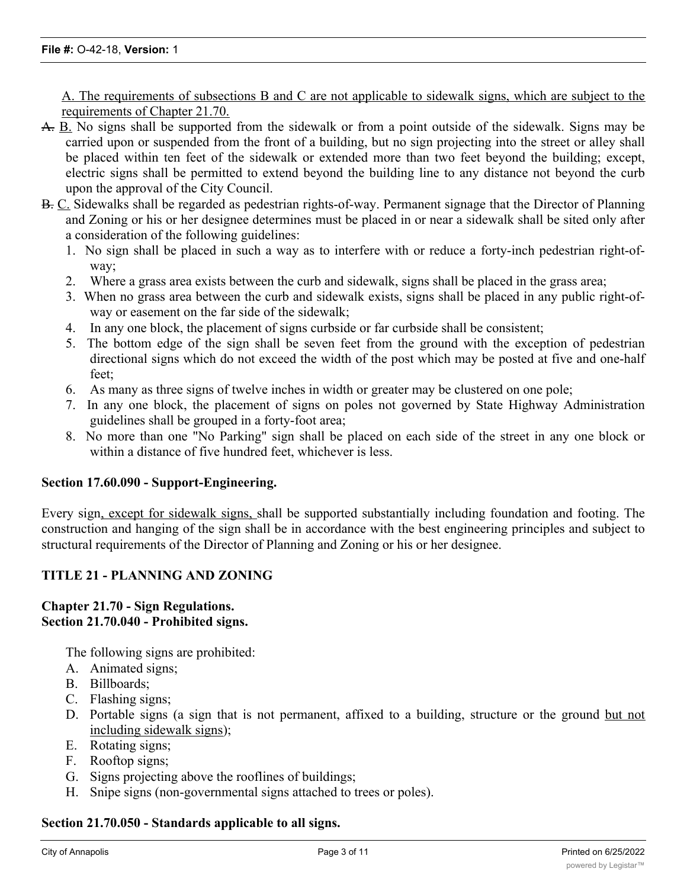A. The requirements of subsections B and C are not applicable to sidewalk signs, which are subject to the requirements of Chapter 21.70.

- A. B. No signs shall be supported from the sidewalk or from a point outside of the sidewalk. Signs may be carried upon or suspended from the front of a building, but no sign projecting into the street or alley shall be placed within ten feet of the sidewalk or extended more than two feet beyond the building; except, electric signs shall be permitted to extend beyond the building line to any distance not beyond the curb upon the approval of the City Council.
- B. C. Sidewalks shall be regarded as pedestrian rights-of-way. Permanent signage that the Director of Planning and Zoning or his or her designee determines must be placed in or near a sidewalk shall be sited only after a consideration of the following guidelines:
	- 1. No sign shall be placed in such a way as to interfere with or reduce a forty-inch pedestrian right-ofway;
	- 2. Where a grass area exists between the curb and sidewalk, signs shall be placed in the grass area;
	- 3. When no grass area between the curb and sidewalk exists, signs shall be placed in any public right-ofway or easement on the far side of the sidewalk;
	- 4. In any one block, the placement of signs curbside or far curbside shall be consistent;
	- 5. The bottom edge of the sign shall be seven feet from the ground with the exception of pedestrian directional signs which do not exceed the width of the post which may be posted at five and one-half feet;
	- 6. As many as three signs of twelve inches in width or greater may be clustered on one pole;
	- 7. In any one block, the placement of signs on poles not governed by State Highway Administration guidelines shall be grouped in a forty-foot area;
	- 8. No more than one "No Parking" sign shall be placed on each side of the street in any one block or within a distance of five hundred feet, whichever is less.

### **Section 17.60.090 - Support-Engineering.**

Every sign, except for sidewalk signs, shall be supported substantially including foundation and footing. The construction and hanging of the sign shall be in accordance with the best engineering principles and subject to structural requirements of the Director of Planning and Zoning or his or her designee.

### **TITLE 21 - PLANNING AND ZONING**

### **Chapter 21.70 - Sign Regulations. Section 21.70.040 - Prohibited signs.**

The following signs are prohibited:

- A. Animated signs;
- B. Billboards;
- C. Flashing signs;
- D. Portable signs (a sign that is not permanent, affixed to a building, structure or the ground but not including sidewalk signs);
- E. Rotating signs;
- F. Rooftop signs;
- G. Signs projecting above the rooflines of buildings;
- H. Snipe signs (non-governmental signs attached to trees or poles).

### **Section 21.70.050 - Standards applicable to all signs.**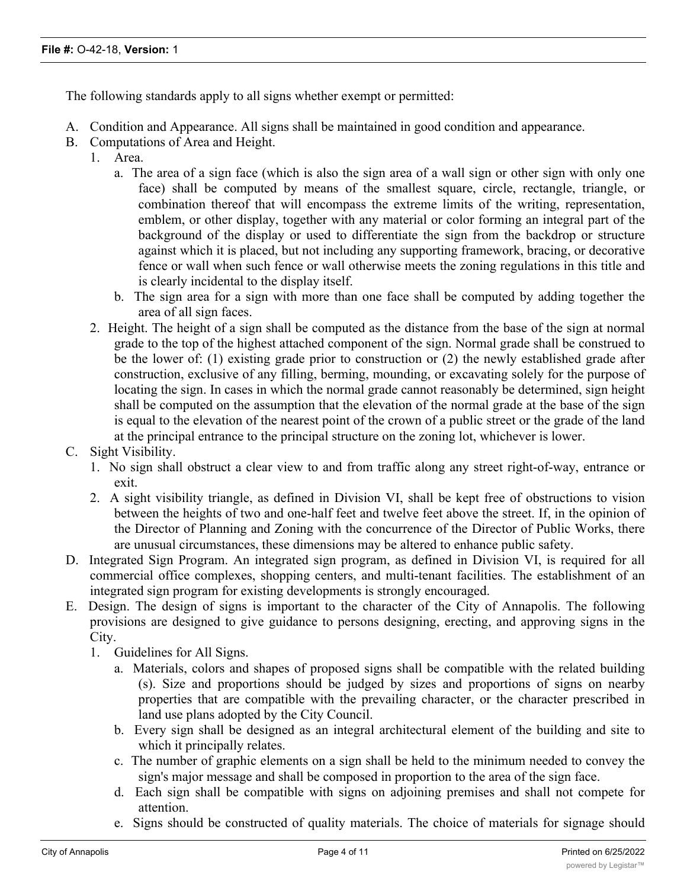The following standards apply to all signs whether exempt or permitted:

- A. Condition and Appearance. All signs shall be maintained in good condition and appearance.
- B. Computations of Area and Height.
	- 1. Area.
		- a. The area of a sign face (which is also the sign area of a wall sign or other sign with only one face) shall be computed by means of the smallest square, circle, rectangle, triangle, or combination thereof that will encompass the extreme limits of the writing, representation, emblem, or other display, together with any material or color forming an integral part of the background of the display or used to differentiate the sign from the backdrop or structure against which it is placed, but not including any supporting framework, bracing, or decorative fence or wall when such fence or wall otherwise meets the zoning regulations in this title and is clearly incidental to the display itself.
		- b. The sign area for a sign with more than one face shall be computed by adding together the area of all sign faces.
	- 2. Height. The height of a sign shall be computed as the distance from the base of the sign at normal grade to the top of the highest attached component of the sign. Normal grade shall be construed to be the lower of: (1) existing grade prior to construction or (2) the newly established grade after construction, exclusive of any filling, berming, mounding, or excavating solely for the purpose of locating the sign. In cases in which the normal grade cannot reasonably be determined, sign height shall be computed on the assumption that the elevation of the normal grade at the base of the sign is equal to the elevation of the nearest point of the crown of a public street or the grade of the land at the principal entrance to the principal structure on the zoning lot, whichever is lower.
- C. Sight Visibility.
	- 1. No sign shall obstruct a clear view to and from traffic along any street right-of-way, entrance or exit.
	- 2. A sight visibility triangle, as defined in Division VI, shall be kept free of obstructions to vision between the heights of two and one-half feet and twelve feet above the street. If, in the opinion of the Director of Planning and Zoning with the concurrence of the Director of Public Works, there are unusual circumstances, these dimensions may be altered to enhance public safety.
- D. Integrated Sign Program. An integrated sign program, as defined in Division VI, is required for all commercial office complexes, shopping centers, and multi-tenant facilities. The establishment of an integrated sign program for existing developments is strongly encouraged.
- E. Design. The design of signs is important to the character of the City of Annapolis. The following provisions are designed to give guidance to persons designing, erecting, and approving signs in the City.
	- 1. Guidelines for All Signs.
		- a. Materials, colors and shapes of proposed signs shall be compatible with the related building (s). Size and proportions should be judged by sizes and proportions of signs on nearby properties that are compatible with the prevailing character, or the character prescribed in land use plans adopted by the City Council.
		- b. Every sign shall be designed as an integral architectural element of the building and site to which it principally relates.
		- c. The number of graphic elements on a sign shall be held to the minimum needed to convey the sign's major message and shall be composed in proportion to the area of the sign face.
		- d. Each sign shall be compatible with signs on adjoining premises and shall not compete for attention.
		- e. Signs should be constructed of quality materials. The choice of materials for signage should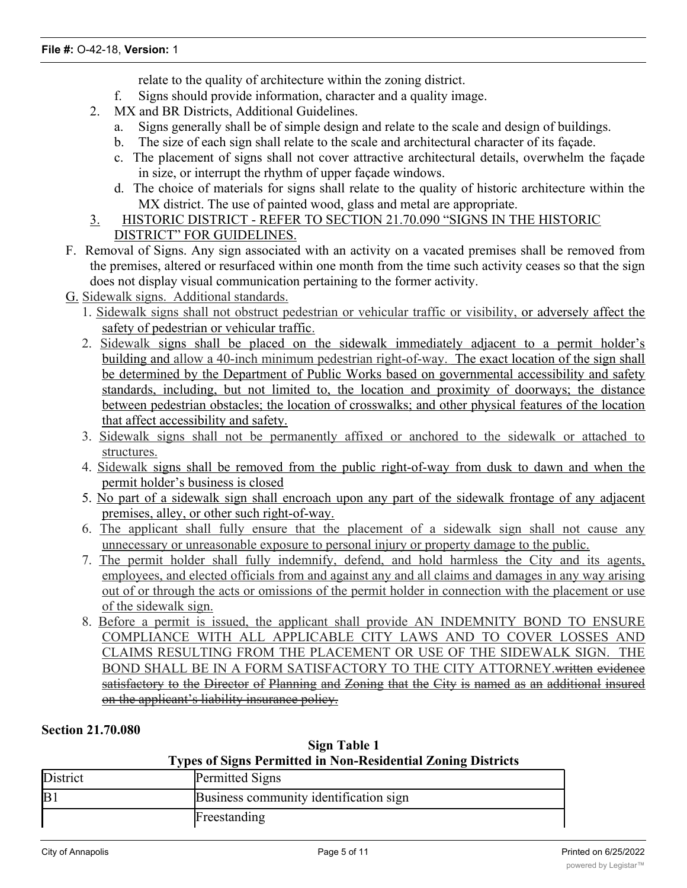relate to the quality of architecture within the zoning district.

- f. Signs should provide information, character and a quality image.
- 2. MX and BR Districts, Additional Guidelines.
	- a. Signs generally shall be of simple design and relate to the scale and design of buildings.
	- b. The size of each sign shall relate to the scale and architectural character of its façade.
	- c. The placement of signs shall not cover attractive architectural details, overwhelm the façade in size, or interrupt the rhythm of upper façade windows.
	- d. The choice of materials for signs shall relate to the quality of historic architecture within the MX district. The use of painted wood, glass and metal are appropriate.
- 3. HISTORIC DISTRICT REFER TO SECTION 21.70.090 "SIGNS IN THE HISTORIC DISTRICT" FOR GUIDELINES.
- F. Removal of Signs. Any sign associated with an activity on a vacated premises shall be removed from the premises, altered or resurfaced within one month from the time such activity ceases so that the sign does not display visual communication pertaining to the former activity.
- G. Sidewalk signs. Additional standards.
	- 1. Sidewalk signs shall not obstruct pedestrian or vehicular traffic or visibility, or adversely affect the safety of pedestrian or vehicular traffic.
	- 2. Sidewalk signs shall be placed on the sidewalk immediately adjacent to a permit holder's building and allow a 40-inch minimum pedestrian right-of-way. The exact location of the sign shall be determined by the Department of Public Works based on governmental accessibility and safety standards, including, but not limited to, the location and proximity of doorways; the distance between pedestrian obstacles; the location of crosswalks; and other physical features of the location that affect accessibility and safety.
	- 3. Sidewalk signs shall not be permanently affixed or anchored to the sidewalk or attached to structures.
	- 4. Sidewalk signs shall be removed from the public right-of-way from dusk to dawn and when the permit holder's business is closed
	- 5. No part of a sidewalk sign shall encroach upon any part of the sidewalk frontage of any adjacent premises, alley, or other such right-of-way.
	- 6. The applicant shall fully ensure that the placement of a sidewalk sign shall not cause any unnecessary or unreasonable exposure to personal injury or property damage to the public.
	- 7. The permit holder shall fully indemnify, defend, and hold harmless the City and its agents, employees, and elected officials from and against any and all claims and damages in any way arising out of or through the acts or omissions of the permit holder in connection with the placement or use of the sidewalk sign.
	- 8. Before a permit is issued, the applicant shall provide AN INDEMNITY BOND TO ENSURE COMPLIANCE WITH ALL APPLICABLE CITY LAWS AND TO COVER LOSSES AND CLAIMS RESULTING FROM THE PLACEMENT OR USE OF THE SIDEWALK SIGN. THE BOND SHALL BE IN A FORM SATISFACTORY TO THE CITY ATTORNEY.written evidence satisfactory to the Director of Planning and Zoning that the City is named as an additional insured on the applicant's liability insurance policy.

### **Section 21.70.080**

| Sign Table 1                                                        |
|---------------------------------------------------------------------|
| <b>Types of Signs Permitted in Non-Residential Zoning Districts</b> |

| District | Permitted Signs                        |  |
|----------|----------------------------------------|--|
| B.       | Business community identification sign |  |
|          | Freestanding                           |  |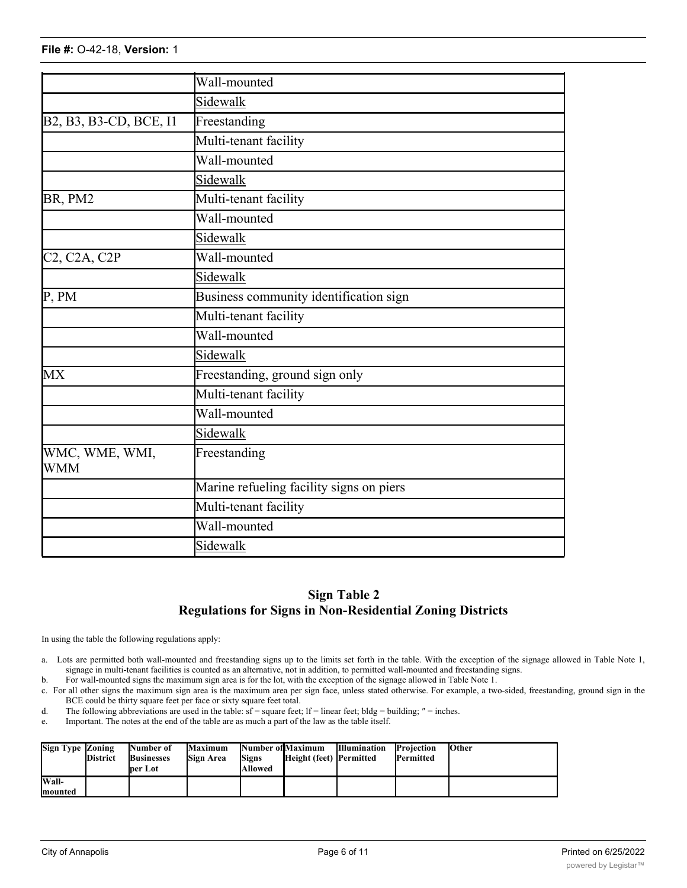|                                                                                                     | Wall-mounted                             |  |  |  |  |  |  |
|-----------------------------------------------------------------------------------------------------|------------------------------------------|--|--|--|--|--|--|
|                                                                                                     | Sidewalk                                 |  |  |  |  |  |  |
| B <sub>2</sub> , B <sub>3</sub> , B <sub>3</sub> -C <sub>D</sub> , BC <sub>E</sub> , I <sub>1</sub> | Freestanding                             |  |  |  |  |  |  |
|                                                                                                     | Multi-tenant facility                    |  |  |  |  |  |  |
|                                                                                                     | Wall-mounted                             |  |  |  |  |  |  |
|                                                                                                     | Sidewalk                                 |  |  |  |  |  |  |
| BR, PM2                                                                                             | Multi-tenant facility                    |  |  |  |  |  |  |
|                                                                                                     | Wall-mounted                             |  |  |  |  |  |  |
|                                                                                                     | Sidewalk                                 |  |  |  |  |  |  |
| C2, C2A, C2P                                                                                        | Wall-mounted                             |  |  |  |  |  |  |
|                                                                                                     | Sidewalk                                 |  |  |  |  |  |  |
| P, PM                                                                                               | Business community identification sign   |  |  |  |  |  |  |
|                                                                                                     | Multi-tenant facility                    |  |  |  |  |  |  |
|                                                                                                     | Wall-mounted                             |  |  |  |  |  |  |
|                                                                                                     | Sidewalk                                 |  |  |  |  |  |  |
| <b>MX</b>                                                                                           | Freestanding, ground sign only           |  |  |  |  |  |  |
|                                                                                                     | Multi-tenant facility                    |  |  |  |  |  |  |
|                                                                                                     | Wall-mounted                             |  |  |  |  |  |  |
|                                                                                                     | Sidewalk                                 |  |  |  |  |  |  |
| WMC, WME, WMI,<br><b>WMM</b>                                                                        | Freestanding                             |  |  |  |  |  |  |
|                                                                                                     | Marine refueling facility signs on piers |  |  |  |  |  |  |
|                                                                                                     | Multi-tenant facility                    |  |  |  |  |  |  |
|                                                                                                     | Wall-mounted                             |  |  |  |  |  |  |
|                                                                                                     | Sidewalk                                 |  |  |  |  |  |  |

### **Sign Table 2 Regulations for Signs in Non-Residential Zoning Districts**

In using the table the following regulations apply:

- a. Lots are permitted both wall-mounted and freestanding signs up to the limits set forth in the table. With the exception of the signage allowed in Table Note 1, signage in multi-tenant facilities is counted as an alternative, not in addition, to permitted wall-mounted and freestanding signs.
- b. For wall-mounted signs the maximum sign area is for the lot, with the exception of the signage allowed in Table Note 1.
- c. For all other signs the maximum sign area is the maximum area per sign face, unless stated otherwise. For example, a two-sided, freestanding, ground sign in the BCE could be thirty square feet per face or sixty square feet total.
- d. The following abbreviations are used in the table:  $sf = square$  feet;  $lf = linear$  feet;  $bldg = building$ ;  $" = inches$ .

permitted

e. Important. The notes at the end of the table are as much a part of the law as the table itself.

of 100 sf. 2.

| Sign Type Zoning | <b>District</b> | Number of<br><b>Businesses</b><br>lper Lot | Maximum<br>Sign Area | <b>Signs</b><br>lAllowed | Number of Maximum<br>Height (feet) Permitted | <b>Illumination</b> | Projection<br>Permitted | <b>Other</b> |
|------------------|-----------------|--------------------------------------------|----------------------|--------------------------|----------------------------------------------|---------------------|-------------------------|--------------|
| Wall-            |                 |                                            |                      |                          |                                              |                     |                         |              |
| <b>Imounted</b>  |                 |                                            |                      |                          |                                              |                     |                         |              |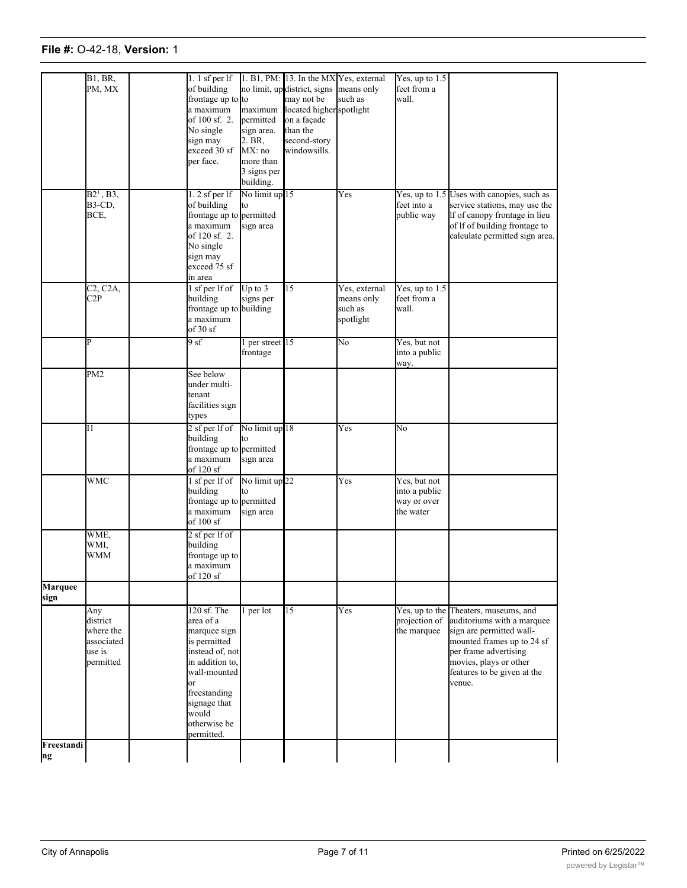### **File #: 0-42-18, Version: 1 Wall-**

**Businesses**

**Sign Area**

**Signs**

**Height (feet)**

**Permitted**

**Permitted**

**District**

|                        | B1, BR<br>PM, MX                                                  | $1.1$ sf per lf<br>of building<br>frontage up to to<br>a maximum<br>of 100 sf. 2.<br>No single<br>sign may<br>exceed 30 sf<br>per face.                                                                | maximum<br>permitted<br>sign area.<br>$2. BR$ ,<br>MX: no<br>more than<br>3 signs per<br>building. | 1. B1, PM: 13. In the MX Yes, external<br>no limit, up district, signs<br>may not be<br>located higher spotlight<br>on a façade<br>than the<br>second-story<br>windowsills. | means only<br>such as                               | Yes, up to $1.5$<br>feet from a<br>wall.                  |                                                                                                                                                                                                                           |
|------------------------|-------------------------------------------------------------------|--------------------------------------------------------------------------------------------------------------------------------------------------------------------------------------------------------|----------------------------------------------------------------------------------------------------|-----------------------------------------------------------------------------------------------------------------------------------------------------------------------------|-----------------------------------------------------|-----------------------------------------------------------|---------------------------------------------------------------------------------------------------------------------------------------------------------------------------------------------------------------------------|
|                        | $B2^1$ , $B3$ ,<br><b>B3-CD,</b><br>BCE,                          | $1.2$ sf per lf<br>of building<br>frontage up to permitted<br>a maximum<br>of 120 sf. 2.<br>No single<br>sign may<br>exceed 75 sf<br>in area                                                           | No limit up 15<br>to<br>sign area                                                                  |                                                                                                                                                                             | Yes                                                 | feet into a<br>public way                                 | Yes, up to 1.5 Uses with canopies, such as<br>service stations, may use the<br>If of canopy frontage in lieu<br>of If of building frontage to<br>calculate permitted sign area.                                           |
|                        | C <sub>2</sub> , C <sub>2</sub> A <sub>,</sub><br>C2P             | 1 sf per lf of<br>building<br>frontage up to building<br>a maximum<br>of 30 sf                                                                                                                         | Up to $3$<br>signs per                                                                             | $\overline{15}$                                                                                                                                                             | Yes, external<br>means only<br>such as<br>spotlight | Yes, up to $1.5$<br>feet from a<br>wall.                  |                                                                                                                                                                                                                           |
|                        | P                                                                 | 9 sf                                                                                                                                                                                                   | per street 15<br>frontage                                                                          |                                                                                                                                                                             | No                                                  | Yes, but not<br>into a public<br>way.                     |                                                                                                                                                                                                                           |
|                        | PM <sub>2</sub>                                                   | See below<br>under multi-<br>tenant<br>facilities sign<br>types                                                                                                                                        |                                                                                                    |                                                                                                                                                                             |                                                     |                                                           |                                                                                                                                                                                                                           |
|                        | Ι1                                                                | 2 sf per lf of<br>building<br>frontage up to permitted<br>a maximum<br>of 120 sf                                                                                                                       | No limit up 18<br>to<br>sign area                                                                  |                                                                                                                                                                             | Yes                                                 | No                                                        |                                                                                                                                                                                                                           |
|                        | <b>WMC</b>                                                        | 1 sf per lf of<br>building<br>frontage up to permitted<br>a maximum<br>of 100 sf                                                                                                                       | No limit up <sup>22</sup><br>to<br>sign area                                                       |                                                                                                                                                                             | Yes                                                 | Yes, but not<br>into a public<br>way or over<br>the water |                                                                                                                                                                                                                           |
|                        | WME,<br>WMI,<br>WMM                                               | $2$ sf per lf of<br>building<br>frontage up to<br>a maximum<br>of 120 sf                                                                                                                               |                                                                                                    |                                                                                                                                                                             |                                                     |                                                           |                                                                                                                                                                                                                           |
| <b>Marquee</b><br>sign |                                                                   |                                                                                                                                                                                                        |                                                                                                    |                                                                                                                                                                             |                                                     |                                                           |                                                                                                                                                                                                                           |
|                        | Any<br>district<br>where the<br>associated<br>use is<br>permitted | 120 sf. The<br>area of a<br>marquee sign<br>is permitted<br>instead of, not<br>in addition to.<br>wall-mounted<br><sub>or</sub><br>freestanding<br>signage that<br>would<br>otherwise be<br>permitted. | per lot                                                                                            | 15                                                                                                                                                                          | Yes                                                 | projection of<br>the marquee                              | Yes, up to the Theaters, museums, and<br>auditoriums with a marquee<br>sign are permitted wall-<br>mounted frames up to 24 sf<br>per frame advertising<br>movies, plays or other<br>features to be given at the<br>venue. |
| Freestandi<br>ng       |                                                                   |                                                                                                                                                                                                        |                                                                                                    |                                                                                                                                                                             |                                                     |                                                           |                                                                                                                                                                                                                           |

districts 10 feet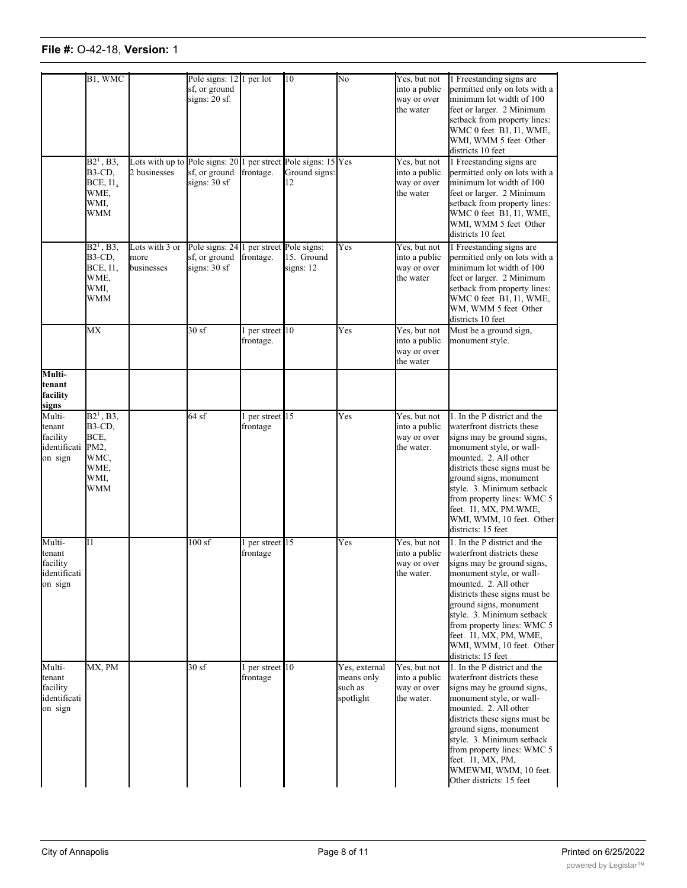## **File #:** O-42-18, **Version:** 1 **Freestandi**

otherwise be

|                                                         | B1, WMC<br>$B2^1$ , B3,<br>B3-CD,<br><b>BCE, I1,</b><br>WME,<br>WMI.<br><b>WMM</b> | Lots with up to Pole signs: 20<br>2 businesses | Pole signs: 12<br>sf, or ground<br>signs: 20 sf.<br>sf, or ground<br>signs: 30 sf | per lot<br>frontage.        | 10<br>per street Pole signs: 15 Yes<br>Ground signs:<br>12 | No                                                  | Yes, but not<br>into a public<br>way or over<br>the water<br>Yes, but not<br>into a public<br>way or over<br>the water | 1 Freestanding signs are<br>permitted only on lots with a<br>minimum lot width of 100<br>feet or larger. 2 Minimum<br>setback from property lines:<br>WMC 0 feet B1, I1, WME,<br>WMI, WMM 5 feet Other<br>districts 10 feet<br>1 Freestanding signs are<br>permitted only on lots with a<br>minimum lot width of 100<br>feet or larger. 2 Minimum<br>setback from property lines:<br>WMC 0 feet B1, I1, WME, |
|---------------------------------------------------------|------------------------------------------------------------------------------------|------------------------------------------------|-----------------------------------------------------------------------------------|-----------------------------|------------------------------------------------------------|-----------------------------------------------------|------------------------------------------------------------------------------------------------------------------------|--------------------------------------------------------------------------------------------------------------------------------------------------------------------------------------------------------------------------------------------------------------------------------------------------------------------------------------------------------------------------------------------------------------|
|                                                         | $B2^1$ , B3,<br>B3-CD,<br>BCE, I1,<br>WME,<br>WMI,<br>WMM                          | Lots with 3 or<br>more<br>businesses           | Pole signs: 24<br>sf, or ground<br>signs: $30sf$                                  | per street<br>frontage.     | Pole signs:<br>15. Ground<br>signs: 12                     | Yes                                                 | Yes, but not<br>into a public<br>way or over<br>the water                                                              | WMI, WMM 5 feet Other<br>districts 10 feet<br>1 Freestanding signs are<br>permitted only on lots with a<br>minimum lot width of 100<br>feet or larger. 2 Minimum<br>setback from property lines:<br>WMC 0 feet B1, I1, WME,<br>WM, WMM 5 feet Other<br>districts 10 feet                                                                                                                                     |
| Multi-                                                  | MX                                                                                 |                                                | 30sf                                                                              | per street 10<br>frontage.  |                                                            | Yes                                                 | Yes, but not<br>into a public<br>way or over<br>the water                                                              | Must be a ground sign,<br>monument style.                                                                                                                                                                                                                                                                                                                                                                    |
| tenant<br>facility<br>signs                             |                                                                                    |                                                |                                                                                   |                             |                                                            |                                                     |                                                                                                                        |                                                                                                                                                                                                                                                                                                                                                                                                              |
| Multi-<br>tenant<br>facility<br>identificati<br>on sign | $B21$ , B3,<br>B3-CD,<br>BCE,<br>PM2,<br>WMC,<br>WME,<br>WMI,<br>WMM               |                                                | 64sf                                                                              | 1 per street 15<br>frontage |                                                            | Yes                                                 | Yes, but not<br>into a public<br>way or over<br>the water.                                                             | 1. In the P district and the<br>waterfront districts these<br>signs may be ground signs,<br>monument style, or wall-<br>mounted. 2. All other<br>districts these signs must be<br>ground signs, monument<br>style. 3. Minimum setback<br>from property lines: WMC 5<br>feet. I1, MX, PM.WME,<br>WMI, WMM, 10 feet. Other<br>districts: 15 feet                                                               |
| Multi-<br>tenant<br>facility<br>identificati<br>on sign | 11                                                                                 |                                                | 100sf                                                                             | per street 15<br>frontage   |                                                            | Yes                                                 | Yes, but not<br>into a public<br>way or over<br>the water.                                                             | 1. In the P district and the<br>waterfront districts these<br>signs may be ground signs.<br>monument style, or wall-<br>mounted. 2. All other<br>districts these signs must be<br>ground signs, monument<br>style. 3. Minimum setback<br>from property lines: WMC 5<br>feet. I1, MX, PM, WME,<br>WMI, WMM, 10 feet. Other<br>districts: 15 feet                                                              |
| Multi-<br>tenant<br>facility<br>identificati<br>on sign | MX, PM                                                                             |                                                | 30sf                                                                              | per street 10<br>frontage   |                                                            | Yes, external<br>means only<br>such as<br>spotlight | Yes, but not<br>into a public<br>way or over<br>the water.                                                             | 1. In the P district and the<br>waterfront districts these<br>signs may be ground signs,<br>monument style, or wall-<br>mounted. 2. All other<br>districts these signs must be<br>ground signs, monument<br>style. 3. Minimum setback<br>from property lines: WMC 5<br>feet. I1, MX, PM,<br>WMEWMI, WMM, 10 feet.<br>Other districts: 15 feet                                                                |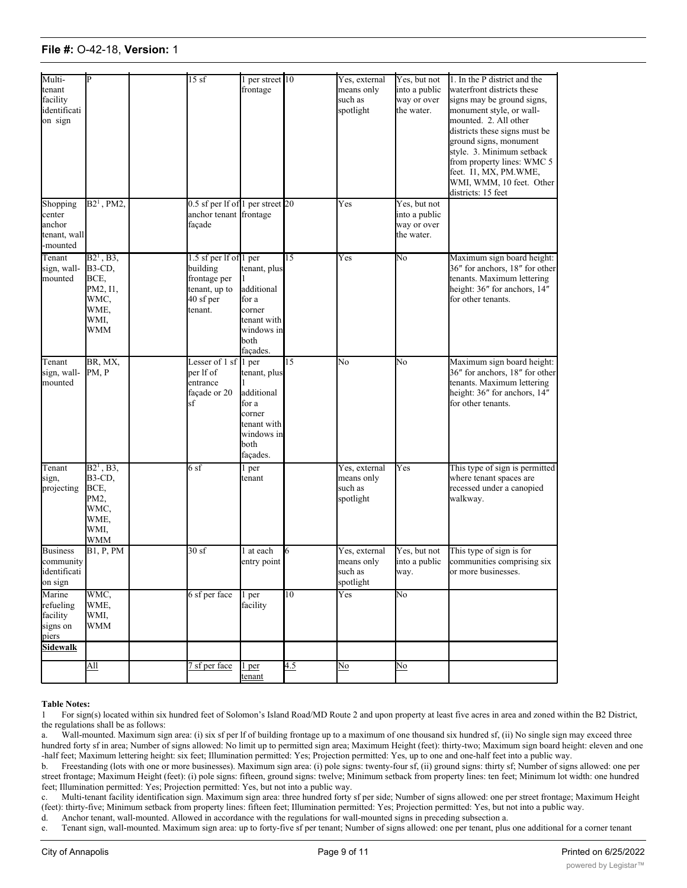### **File #:** O-42-18, **Version:** 1

| Multi-<br>tenant<br>facility<br>identificati<br>on sign  |                                                                                  | 15sf                                                                                        | per street 10<br>frontage                                                                               |                 | Yes, external<br>means only<br>such as<br>spotlight | Yes, but not<br>into a public<br>way or over<br>the water. | 1. In the P district and the<br>waterfront districts these<br>signs may be ground signs,<br>monument style, or wall-<br>mounted. 2. All other<br>districts these signs must be<br>ground signs, monument<br>style. 3. Minimum setback<br>from property lines: WMC 5<br>feet. I1, MX, PM.WME,<br>WMI, WMM, 10 feet. Other<br>districts: 15 feet |
|----------------------------------------------------------|----------------------------------------------------------------------------------|---------------------------------------------------------------------------------------------|---------------------------------------------------------------------------------------------------------|-----------------|-----------------------------------------------------|------------------------------------------------------------|------------------------------------------------------------------------------------------------------------------------------------------------------------------------------------------------------------------------------------------------------------------------------------------------------------------------------------------------|
| Shopping<br>center<br>anchor<br>tenant, wall<br>-mounted | $B21$ , PM2,                                                                     | 0.5 sf per lf of 1 per street 20<br>anchor tenant frontage<br>façade                        |                                                                                                         |                 | Yes                                                 | Yes, but not<br>into a public<br>way or over<br>the water. |                                                                                                                                                                                                                                                                                                                                                |
| Tenant<br>sign, wall-<br>mounted                         | $B2^1$ , B3,<br><b>B3-CD,</b><br>BCE,<br>PM2, I1,<br>WMC,<br>WME,<br>WMI,<br>WMM | 1.5 sf per lf of 1 per<br>building<br>frontage per<br>tenant, up to<br>40 sf per<br>tenant. | tenant, plus<br>additional<br>for a<br>corner<br>tenant with<br>windows in<br>both<br>façades.          | $\overline{15}$ | Yes                                                 | No                                                         | Maximum sign board height:<br>36" for anchors, 18" for other<br>tenants. Maximum lettering<br>height: 36" for anchors, 14"<br>for other tenants.                                                                                                                                                                                               |
| Tenant<br>sign, wall-<br>mounted                         | BR, MX,<br>PM, P                                                                 | Lesser of $1$ sf<br>per lf of<br>entrance<br>façade or 20<br>sf                             | 1 per<br>tenant, plus<br>additional<br>for a<br>corner<br>tenant with<br>windows in<br>both<br>façades. | 15              | No                                                  | No                                                         | Maximum sign board height:<br>36" for anchors, 18" for other<br>tenants. Maximum lettering<br>height: 36" for anchors, 14"<br>for other tenants.                                                                                                                                                                                               |
| Tenant<br>sign,<br>projecting                            | $B2^1$ , B3,<br>B3-CD,<br>BCE,<br>PM2,<br>WMC,<br>WME,<br>WMI,<br><b>WMM</b>     | 6 sf                                                                                        | l per<br>tenant                                                                                         |                 | Yes, external<br>means only<br>such as<br>spotlight | Yes                                                        | This type of sign is permitted<br>where tenant spaces are<br>recessed under a canopied<br>walkway.                                                                                                                                                                                                                                             |
| <b>Business</b><br>community<br>identificati<br>on sign  | <b>B1, P, PM</b>                                                                 | 30sf                                                                                        | 1 at each<br>entry point                                                                                | l6              | Yes, external<br>means only<br>such as<br>spotlight | Yes, but not<br>into a public<br>way.                      | This type of sign is for<br>communities comprising six<br>or more businesses.                                                                                                                                                                                                                                                                  |
| Marine<br>refueling<br>facility<br>signs on<br>piers     | WMC,<br>WME,<br>WMI,<br><b>WMM</b>                                               | 6 sf per face                                                                               | 1 per<br>facility                                                                                       | $10^{-}$        | Yes                                                 | No                                                         |                                                                                                                                                                                                                                                                                                                                                |
| <b>Sidewalk</b>                                          |                                                                                  |                                                                                             |                                                                                                         |                 |                                                     |                                                            |                                                                                                                                                                                                                                                                                                                                                |
|                                                          | $\underline{\mathrm{All}}$                                                       | 7 sf per face                                                                               | 1 <sub>per</sub><br>tenant                                                                              | 4.5             | $\overline{No}$                                     | $\overline{\text{No}}$                                     |                                                                                                                                                                                                                                                                                                                                                |

### **Table Notes:**

1 For sign(s) located within six hundred feet of Solomon's Island Road/MD Route 2 and upon property at least five acres in area and zoned within the B2 District, the regulations shall be as follows:

a. Wall-mounted. Maximum sign area: (i) six sf per lf of building frontage up to a maximum of one thousand six hundred sf, (ii) No single sign may exceed three hundred forty sf in area; Number of signs allowed: No limit up to permitted sign area; Maximum Height (feet): thirty-two; Maximum sign board height: eleven and one -half feet; Maximum lettering height: six feet; Illumination permitted: Yes; Projection permitted: Yes, up to one and one-half feet into a public way.

b. Freestanding (lots with one or more businesses). Maximum sign area: (i) pole signs: twenty-four sf, (ii) ground signs: thirty sf; Number of signs allowed: one per street frontage; Maximum Height (feet): (i) pole signs: fifteen, ground signs: twelve; Minimum setback from property lines: ten feet; Minimum lot width: one hundred feet; Illumination permitted: Yes; Projection permitted: Yes, but not into a public way.

c. Multi-tenant facility identification sign. Maximum sign area: three hundred forty sf per side; Number of signs allowed: one per street frontage; Maximum Height (feet): thirty-five; Minimum setback from property lines: fifteen feet; Illumination permitted: Yes; Projection permitted: Yes, but not into a public way.

d. Anchor tenant, wall-mounted. Allowed in accordance with the regulations for wall-mounted signs in preceding subsection a.

e. Tenant sign, wall-mounted. Maximum sign area: up to forty-five sf per tenant; Number of signs allowed: one per tenant, plus one additional for a corner tenant

with windows in both factors; Maximum sign board height (feet; Maximum lettering height: three and one-half feet; Maximum lettering height: four feet; Maximum lettering height: three and one-half feet; Maximum lettering he

from property lines: WMC 500 percent in the second second second second second second second second second second second second second second second second second second second second second second second second second sec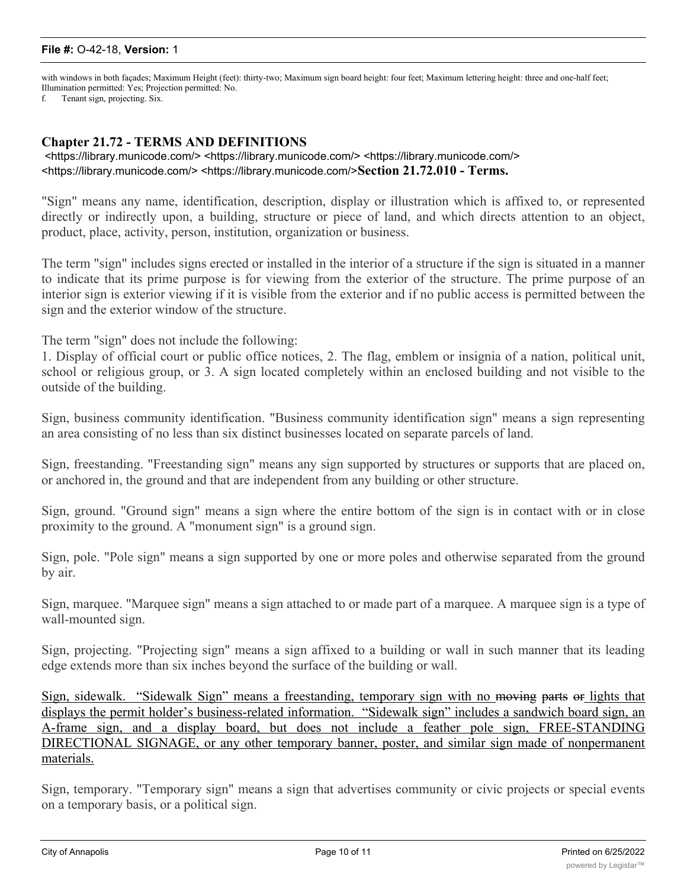### **File #:** O-42-18, **Version:** 1

with windows in both façades; Maximum Height (feet): thirty-two; Maximum sign board height: four feet; Maximum lettering height: three and one-half feet; Illumination permitted: Yes; Projection permitted: No.

f. Tenant sign, projecting. Six.

### **Chapter 21.72 - TERMS AND DEFINITIONS**

 <https://library.municode.com/> <https://library.municode.com/> <https://library.municode.com/> <https://library.municode.com/> <https://library.municode.com/>**Section 21.72.010 - Terms.**

"Sign" means any name, identification, description, display or illustration which is affixed to, or represented directly or indirectly upon, a building, structure or piece of land, and which directs attention to an object, product, place, activity, person, institution, organization or business.

The term "sign" includes signs erected or installed in the interior of a structure if the sign is situated in a manner to indicate that its prime purpose is for viewing from the exterior of the structure. The prime purpose of an interior sign is exterior viewing if it is visible from the exterior and if no public access is permitted between the sign and the exterior window of the structure.

The term "sign" does not include the following:

1. Display of official court or public office notices, 2. The flag, emblem or insignia of a nation, political unit, school or religious group, or 3. A sign located completely within an enclosed building and not visible to the outside of the building.

Sign, business community identification. "Business community identification sign" means a sign representing an area consisting of no less than six distinct businesses located on separate parcels of land.

Sign, freestanding. "Freestanding sign" means any sign supported by structures or supports that are placed on, or anchored in, the ground and that are independent from any building or other structure.

Sign, ground. "Ground sign" means a sign where the entire bottom of the sign is in contact with or in close proximity to the ground. A "monument sign" is a ground sign.

Sign, pole. "Pole sign" means a sign supported by one or more poles and otherwise separated from the ground by air.

Sign, marquee. "Marquee sign" means a sign attached to or made part of a marquee. A marquee sign is a type of wall-mounted sign.

Sign, projecting. "Projecting sign" means a sign affixed to a building or wall in such manner that its leading edge extends more than six inches beyond the surface of the building or wall.

Sign, sidewalk. "Sidewalk Sign" means a freestanding, temporary sign with no moving parts or lights that displays the permit holder's business-related information. "Sidewalk sign" includes a sandwich board sign, an A-frame sign, and a display board, but does not include a feather pole sign, FREE-STANDING DIRECTIONAL SIGNAGE, or any other temporary banner, poster, and similar sign made of nonpermanent materials.

Sign, temporary. "Temporary sign" means a sign that advertises community or civic projects or special events on a temporary basis, or a political sign.